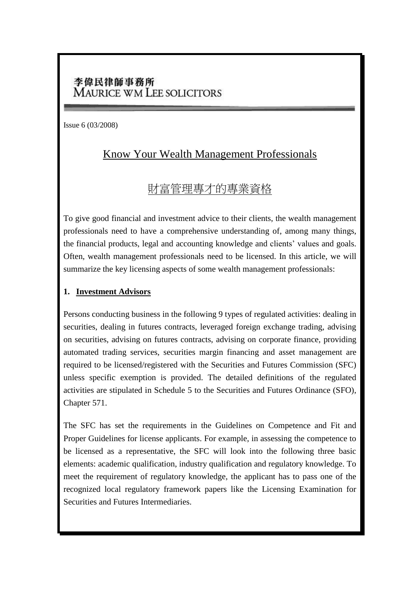## 李偉民律師事務所 **MAURICE WM LEE SOLICITORS**

Issue 6 (03/2008)

# Know Your Wealth Management Professionals

# 財富管理專才的專業資格

To give good financial and investment advice to their clients, the wealth management professionals need to have a comprehensive understanding of, among many things, the financial products, legal and accounting knowledge and clients' values and goals. Often, wealth management professionals need to be licensed. In this article, we will summarize the key licensing aspects of some wealth management professionals:

#### **1. Investment Advisors**

Persons conducting business in the following 9 types of regulated activities: dealing in securities, dealing in futures contracts, leveraged foreign exchange trading, advising on securities, advising on futures contracts, advising on corporate finance, providing automated trading services, securities margin financing and asset management are required to be licensed/registered with the Securities and Futures Commission (SFC) unless specific exemption is provided. The detailed definitions of the regulated activities are stipulated in Schedule 5 to the Securities and Futures Ordinance (SFO), Chapter 571.

The SFC has set the requirements in the Guidelines on Competence and Fit and Proper Guidelines for license applicants. For example, in assessing the competence to be licensed as a representative, the SFC will look into the following three basic elements: academic qualification, industry qualification and regulatory knowledge. To meet the requirement of regulatory knowledge, the applicant has to pass one of the recognized local regulatory framework papers like the Licensing Examination for Securities and Futures Intermediaries.